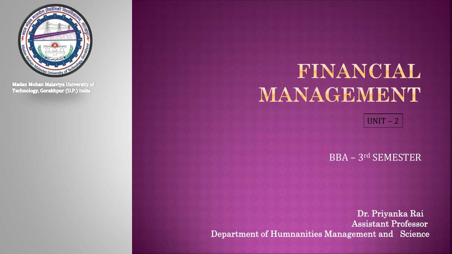

**Madan Mohan Malaviya University of<br>Technology, Gorakhpur (U.P.) India** 

# FINANCIAL MANAGEMENT



BBA – 3 rd SEMESTER

Dr. Priyanka Rai Assistant Professor Department of Humnanities Management and Science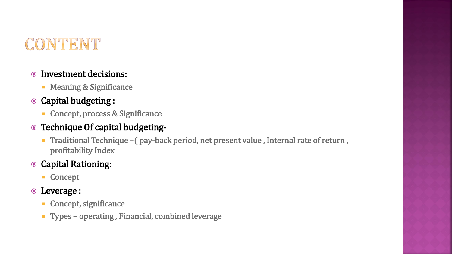# CONTENT

- Investment decisions:
	- **Meaning & Significance**
- Capital budgeting :
	- **Concept, process & Significance**

## Technique Of capital budgeting-

 Traditional Technique –( pay-back period, net present value , Internal rate of return , profitability Index

## Capital Rationing:

Concept

## Leverage :

- **Concept, significance**
- Types operating , Financial, combined leverage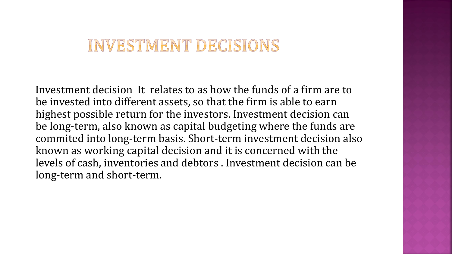# INVESTMENT DECISIONS

Investment decision It relates to as how the funds of a firm are to be invested into different assets, so that the firm is able to earn highest possible return for the investors. Investment decision can be long-term, also known as capital budgeting where the funds are commited into long-term basis. Short-term investment decision also known as working capital decision and it is concerned with the levels of cash, inventories and debtors . Investment decision can be long-term and short-term.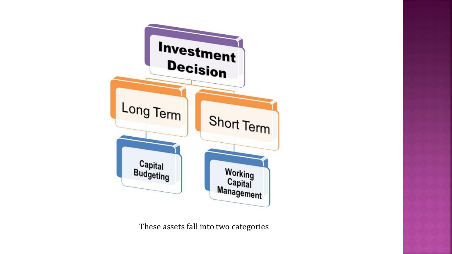

These assets fall into two categories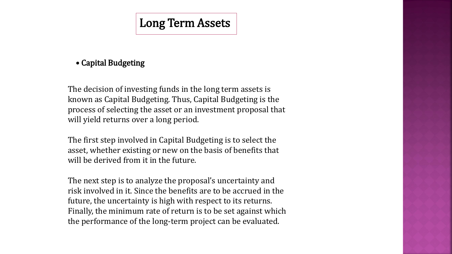## Long Term Assets

### • Capital Budgeting

The decision of investing funds in the long term assets is known as Capital Budgeting. Thus, Capital Budgeting is the process of selecting the asset or an investment proposal that will yield returns over a long period.

The first step involved in Capital Budgeting is to select the asset, whether existing or new on the basis of benefits that will be derived from it in the future.

The next step is to analyze the proposal's uncertainty and risk involved in it. Since the benefits are to be accrued in the future, the uncertainty is high with respect to its returns. Finally, the minimum rate of return is to be set against which the performance of the long-term project can be evaluated.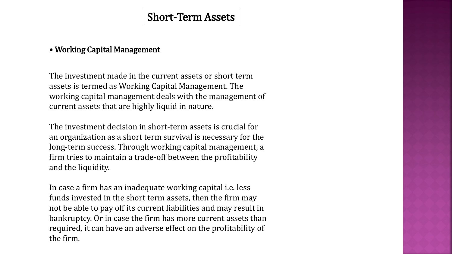# Short-Term Assets

#### • Working Capital Management

The investment made in the current assets or short term assets is termed as Working Capital Management. The working capital management deals with the management of current assets that are highly liquid in nature.

The investment decision in short-term assets is crucial for an organization as a short term survival is necessary for the long-term success. Through working capital management, a firm tries to maintain a trade-off between the profitability and the liquidity.

In case a firm has an inadequate working capital i.e. less funds invested in the short term assets, then the firm may not be able to pay off its current liabilities and may result in bankruptcy. Or in case the firm has more current assets than required, it can have an adverse effect on the profitability of the firm.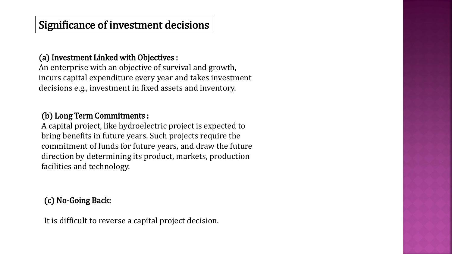## Significance of investment decisions

#### (a) Investment Linked with Objectives :

An enterprise with an objective of survival and growth, incurs capital expenditure every year and takes investment decisions e.g., investment in fixed assets and inventory.

### (b) Long Term Commitments :

A capital project, like hydroelectric project is expected to bring benefits in future years. Such projects require the commitment of funds for future years, and draw the future direction by determining its product, markets, production facilities and technology.

### (c) No-Going Back:

It is difficult to reverse a capital project decision.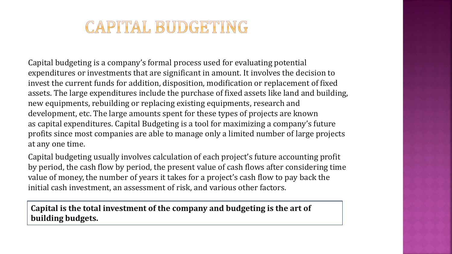# CAPITAL BUDGETING

Capital budgeting is a company's formal process used for evaluating potential expenditures or investments that are significant in amount. It involves the decision to invest the current funds for addition, disposition, modification or replacement of fixed assets. The large expenditures include the purchase of fixed assets like land and building, new equipments, rebuilding or replacing existing equipments, research and development, etc. The large amounts spent for these types of projects are known as capital expenditures. Capital Budgeting is a tool for maximizing a company's future profits since most companies are able to manage only a limited number of large projects at any one time.

Capital budgeting usually involves calculation of each project's future accounting profit by period, the cash flow by period, the present value of cash flows after considering time value of money, the number of years it takes for a project's cash flow to pay back the initial cash investment, an assessment of risk, and various other factors.

**Capital is the total investment of the company and budgeting is the art of building budgets.**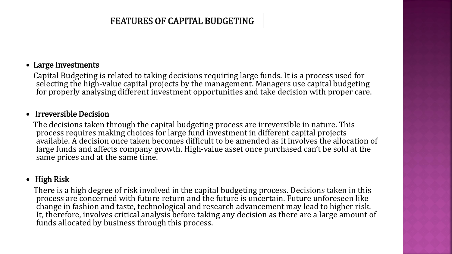## FEATURES OF CAPITAL BUDGETING

#### • Large Investments

Capital Budgeting is related to taking decisions requiring large funds. It is a process used for selecting the high-value capital projects by the management. Managers use capital budgeting for properly analysing different investment opportunities and take decision with proper care.

#### • Irreversible Decision

The decisions taken through the capital budgeting process are irreversible in nature. This process requires making choices for large fund investment in different capital projects available. A decision once taken becomes difficult to be amended as it involves the allocation of large funds and affects company growth. High-value asset once purchased can't be sold at the same prices and at the same time.

#### • High Risk

There is a high degree of risk involved in the capital budgeting process. Decisions taken in this process are concerned with future return and the future is uncertain. Future unforeseen like change in fashion and taste, technological and research advancement may lead to higher risk. It, therefore, involves critical analysis before taking any decision as there are a large amount of funds allocated by business through this process.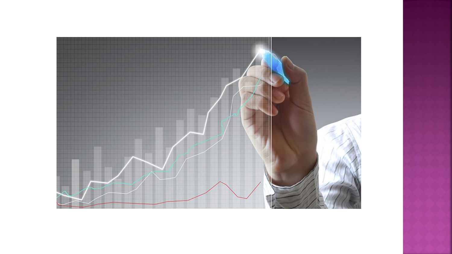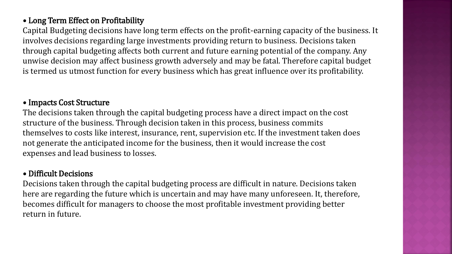### • Long Term Effect on Profitability

Capital Budgeting decisions have long term effects on the profit-earning capacity of the business. It involves decisions regarding large investments providing return to business. Decisions taken through capital budgeting affects both current and future earning potential of the company. Any unwise decision may affect business growth adversely and may be fatal. Therefore capital budget is termed us utmost function for every business which has great influence over its profitability.

#### • Impacts Cost Structure

The decisions taken through the capital budgeting process have a direct impact on the cost structure of the business. Through decision taken in this process, business commits themselves to costs like interest, insurance, rent, supervision etc. If the investment taken does not generate the anticipated income for the business, then it would increase the cost expenses and lead business to losses.

### • Difficult Decisions

Decisions taken through the capital budgeting process are difficult in nature. Decisions taken here are regarding the future which is uncertain and may have many unforeseen. It, therefore, becomes difficult for managers to choose the most profitable investment providing better return in future.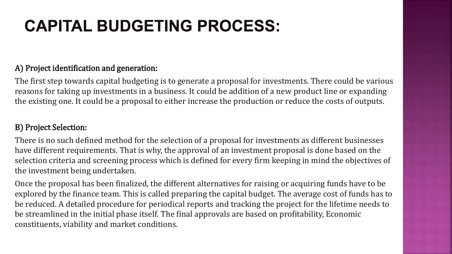# **CAPITAL BUDGETING PROCESS:**

#### A) Project identification and generation:

The first step towards capital budgeting is to generate a proposal for investments. There could be various reasons for taking up investments in a business. It could be addition of a new product line or expanding the existing one. It could be a proposal to either increase the production or reduce the costs of outputs.

#### B) Project Selection:

There is no such defined method for the selection of a proposal for investments as different businesses have different requirements. That is why, the approval of an investment proposal is done based on the selection criteria and screening process which is defined for every firm keeping in mind the objectives of the investment being undertaken.

Once the proposal has been finalized, the different alternatives for raising or acquiring funds have to be explored by the finance team. This is called preparing the capital budget. The average cost of funds has to be reduced. A detailed procedure for periodical reports and tracking the project for the lifetime needs to be streamlined in the initial phase itself. The final approvals are based on profitability, Economic constituents, viability and market conditions.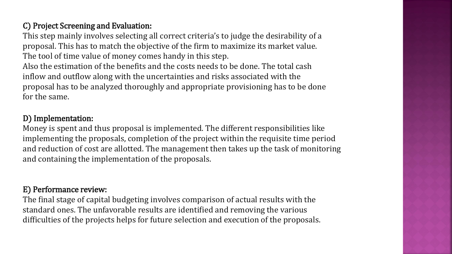### C) Project Screening and Evaluation:

This step mainly involves selecting all correct criteria's to judge the desirability of a proposal. This has to match the objective of the firm to maximize its market value. The tool of time value of money comes handy in this step.

Also the estimation of the benefits and the costs needs to be done. The total cash inflow and outflow along with the uncertainties and risks associated with the proposal has to be analyzed thoroughly and appropriate provisioning has to be done for the same.

### D) Implementation:

Money is spent and thus proposal is implemented. The different responsibilities like implementing the proposals, completion of the project within the requisite time period and reduction of cost are allotted. The management then takes up the task of monitoring and containing the implementation of the proposals.

### E) Performance review:

The final stage of capital budgeting involves comparison of actual results with the standard ones. The unfavorable results are identified and removing the various difficulties of the projects helps for future selection and execution of the proposals.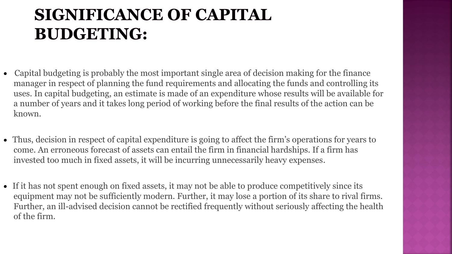# SIGNIFICANCE OF CAPITAL **BUDGETING:**

- Capital budgeting is probably the most important single area of decision making for the finance manager in respect of planning the fund requirements and allocating the funds and controlling its uses. In capital budgeting, an estimate is made of an expenditure whose results will be available for a number of years and it takes long period of working before the final results of the action can be known.
- Thus, decision in respect of capital expenditure is going to affect the firm's operations for years to come. An erroneous forecast of assets can entail the firm in financial hardships. If a firm has invested too much in fixed assets, it will be incurring unnecessarily heavy expenses.
- If it has not spent enough on fixed assets, it may not be able to produce competitively since its equipment may not be sufficiently modern. Further, it may lose a portion of its share to rival firms. Further, an ill-advised decision cannot be rectified frequently without seriously affecting the health of the firm.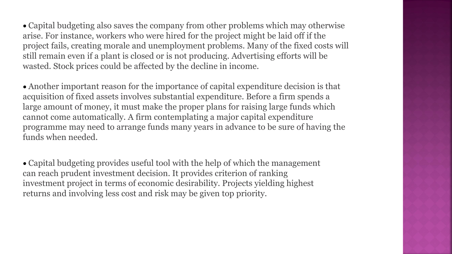• Capital budgeting also saves the company from other problems which may otherwise arise. For instance, workers who were hired for the project might be laid off if the project fails, creating morale and unemployment problems. Many of the fixed costs will still remain even if a plant is closed or is not producing. Advertising efforts will be wasted. Stock prices could be affected by the decline in income.

• Another important reason for the importance of capital expenditure decision is that acquisition of fixed assets involves substantial expenditure. Before a firm spends a large amount of money, it must make the proper plans for raising large funds which cannot come automatically. A firm contemplating a major capital expenditure programme may need to arrange funds many years in advance to be sure of having the funds when needed.

• Capital budgeting provides useful tool with the help of which the management can reach prudent investment decision. It provides criterion of ranking investment project in terms of economic desirability. Projects yielding highest returns and involving less cost and risk may be given top priority.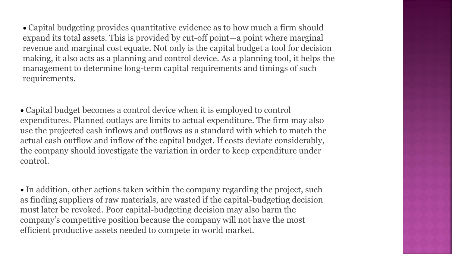• Capital budgeting provides quantitative evidence as to how much a firm should expand its total assets. This is provided by cut-off point—a point where marginal revenue and marginal cost equate. Not only is the capital budget a tool for decision making, it also acts as a planning and control device. As a planning tool, it helps the management to determine long-term capital requirements and timings of such requirements.

• Capital budget becomes a control device when it is employed to control expenditures. Planned outlays are limits to actual expenditure. The firm may also use the projected cash inflows and outflows as a standard with which to match the actual cash outflow and inflow of the capital budget. If costs deviate considerably, the company should investigate the variation in order to keep expenditure under control.

• In addition, other actions taken within the company regarding the project, such as finding suppliers of raw materials, are wasted if the capital-budgeting decision must later be revoked. Poor capital-budgeting decision may also harm the company's competitive position because the company will not have the most efficient productive assets needed to compete in world market.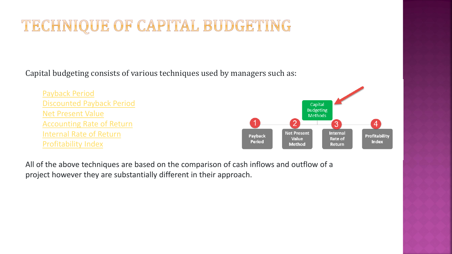# TECHNIQUE OF CAPITAL BUDGETING

Capital budgeting consists of various techniques used by managers such as:



All of the above techniques are based on the comparison of cash inflows and outflow of a project however they are substantially different in their approach.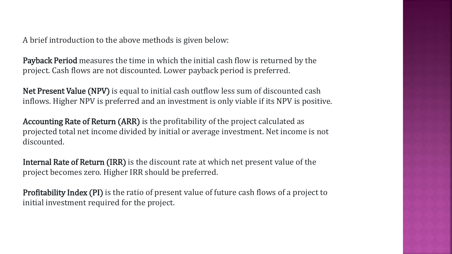A brief introduction to the above methods is given below:

Payback Period measures the time in which the initial cash flow is returned by the project. Cash flows are not discounted. Lower payback period is preferred.

Net Present Value (NPV) is equal to initial cash outflow less sum of discounted cash inflows. Higher NPV is preferred and an investment is only viable if its NPV is positive.

Accounting Rate of Return (ARR) is the profitability of the project calculated as projected total net income divided by initial or average investment. Net income is not discounted.

Internal Rate of Return (IRR) is the discount rate at which net present value of the project becomes zero. Higher IRR should be preferred.

Profitability Index (PI) is the ratio of present value of future cash flows of a project to initial investment required for the project.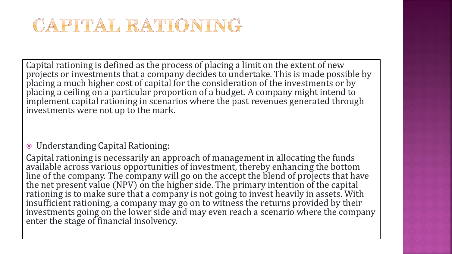Capital rationing is defined as the process of placing a limit on the extent of new projects or investments that a company decides to undertake. This is made possible by placing a much higher cost of capital for the consideration of the investments or by placing a ceiling on a particular proportion of a budget. A company might intend to implement capital rationing in scenarios where the past revenues generated through investments were not up to the mark.

## Understanding Capital Rationing:

Capital rationing is necessarily an approach of management in allocating the funds available across various opportunities of investment, thereby enhancing the bottom line of the company. The company will go on the accept the blend of projects that have the net present value (NPV) on the higher side. The primary intention of the capital rationing is to make sure that a company is not going to invest heavily in assets. With insufficient rationing, a company may go on to witness the returns provided by their investments going on the lower side and may even reach a scenario where the company enter the stage of financial insolvency.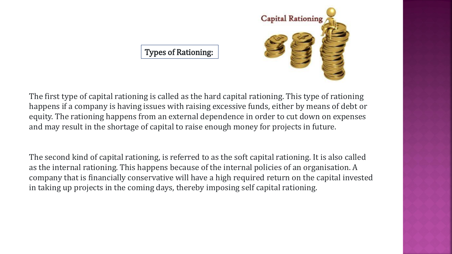

## Types of Rationing:

The first type of capital rationing is called as the hard capital rationing. This type of rationing happens if a company is having issues with raising excessive funds, either by means of debt or equity. The rationing happens from an external dependence in order to cut down on expenses and may result in the shortage of capital to raise enough money for projects in future.

The second kind of capital rationing, is referred to as the soft capital rationing. It is also called as the internal rationing. This happens because of the internal policies of an organisation. A company that is financially conservative will have a high required return on the capital invested in taking up projects in the coming days, thereby imposing self capital rationing.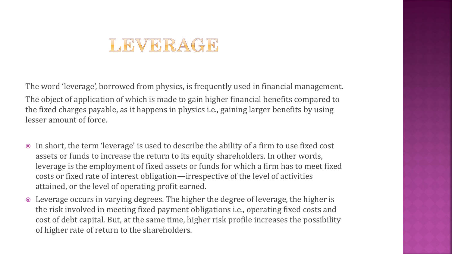# LEVERAGE

The word 'leverage', borrowed from physics, is frequently used in financial management. The object of application of which is made to gain higher financial benefits compared to the fixed charges payable, as it happens in physics i.e., gaining larger benefits by using lesser amount of force.

- In short, the term 'leverage' is used to describe the ability of a firm to use fixed cost assets or funds to increase the return to its equity shareholders. In other words, leverage is the employment of fixed assets or funds for which a firm has to meet fixed costs or fixed rate of interest obligation—irrespective of the level of activities attained, or the level of operating profit earned.
- Leverage occurs in varying degrees. The higher the degree of leverage, the higher is the risk involved in meeting fixed payment obligations i.e., operating fixed costs and cost of debt capital. But, at the same time, higher risk profile increases the possibility of higher rate of return to the shareholders.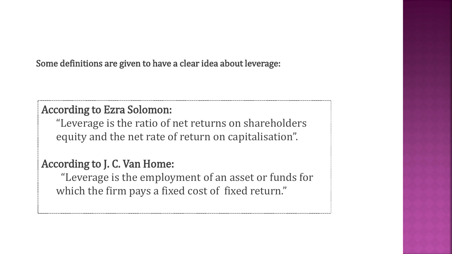Some definitions are given to have a clear idea about leverage:

# According to Ezra Solomon:

"Leverage is the ratio of net returns on shareholders equity and the net rate of return on capitalisation".

## According to J. C. Van Home:

"Leverage is the employment of an asset or funds for which the firm pays a fixed cost of fixed return."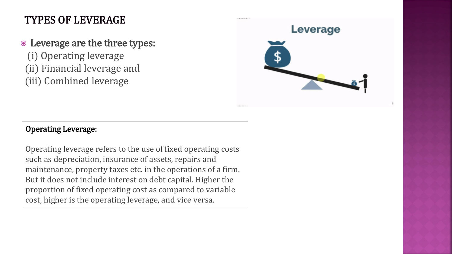# **TYPES OF LEVERAGE**

 Leverage are the three types: (i) Operating leverage (ii) Financial leverage and (iii) Combined leverage



#### Operating Leverage:

Operating leverage refers to the use of fixed operating costs such as depreciation, insurance of assets, repairs and maintenance, property taxes etc. in the operations of a firm. But it does not include interest on debt capital. Higher the proportion of fixed operating cost as compared to variable cost, higher is the operating leverage, and vice versa.